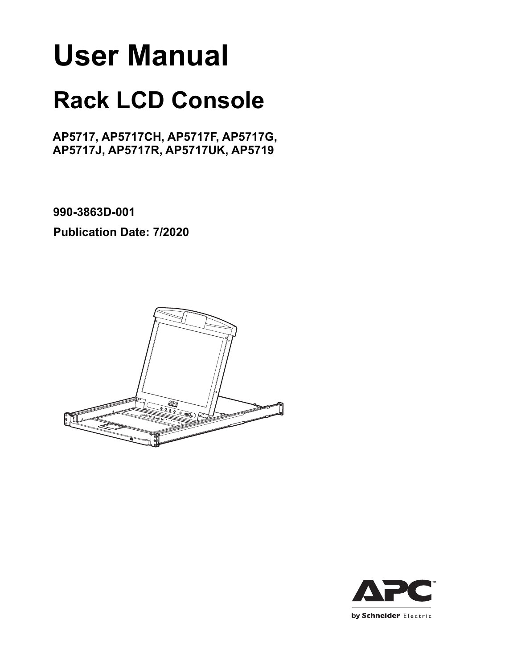# **User Manual**

# **Rack LCD Console**

# **AP5717, AP5717CH, AP5717F, AP5717G, AP5717J, AP5717R, AP5717UK, AP5719**

**990-3863D-001**

**Publication Date: 7/2020**



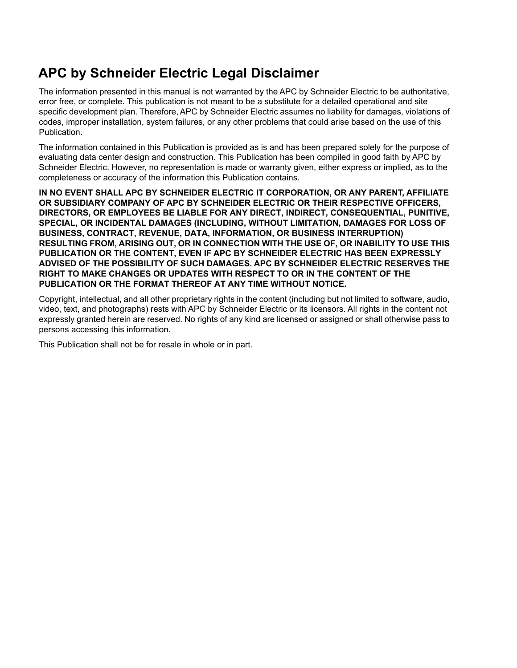# **APC by Schneider Electric Legal Disclaimer**

The information presented in this manual is not warranted by the APC by Schneider Electric to be authoritative, error free, or complete. This publication is not meant to be a substitute for a detailed operational and site specific development plan. Therefore, APC by Schneider Electric assumes no liability for damages, violations of codes, improper installation, system failures, or any other problems that could arise based on the use of this **Publication** 

The information contained in this Publication is provided as is and has been prepared solely for the purpose of evaluating data center design and construction. This Publication has been compiled in good faith by APC by Schneider Electric. However, no representation is made or warranty given, either express or implied, as to the completeness or accuracy of the information this Publication contains.

**IN NO EVENT SHALL APC BY SCHNEIDER ELECTRIC IT CORPORATION, OR ANY PARENT, AFFILIATE OR SUBSIDIARY COMPANY OF APC BY SCHNEIDER ELECTRIC OR THEIR RESPECTIVE OFFICERS, DIRECTORS, OR EMPLOYEES BE LIABLE FOR ANY DIRECT, INDIRECT, CONSEQUENTIAL, PUNITIVE, SPECIAL, OR INCIDENTAL DAMAGES (INCLUDING, WITHOUT LIMITATION, DAMAGES FOR LOSS OF BUSINESS, CONTRACT, REVENUE, DATA, INFORMATION, OR BUSINESS INTERRUPTION) RESULTING FROM, ARISING OUT, OR IN CONNECTION WITH THE USE OF, OR INABILITY TO USE THIS PUBLICATION OR THE CONTENT, EVEN IF APC BY SCHNEIDER ELECTRIC HAS BEEN EXPRESSLY ADVISED OF THE POSSIBILITY OF SUCH DAMAGES. APC BY SCHNEIDER ELECTRIC RESERVES THE RIGHT TO MAKE CHANGES OR UPDATES WITH RESPECT TO OR IN THE CONTENT OF THE PUBLICATION OR THE FORMAT THEREOF AT ANY TIME WITHOUT NOTICE.**

Copyright, intellectual, and all other proprietary rights in the content (including but not limited to software, audio, video, text, and photographs) rests with APC by Schneider Electric or its licensors. All rights in the content not expressly granted herein are reserved. No rights of any kind are licensed or assigned or shall otherwise pass to persons accessing this information.

This Publication shall not be for resale in whole or in part.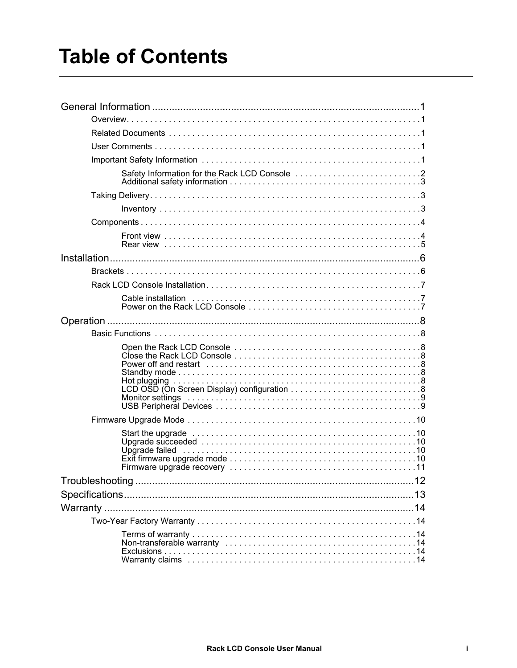# **Table of Contents**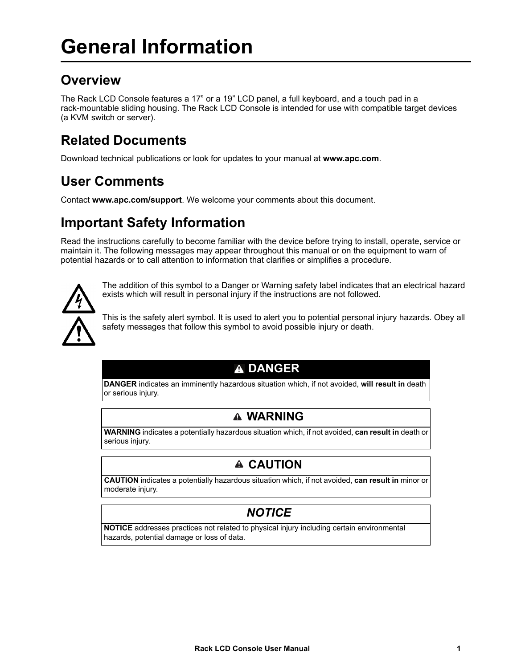# <span id="page-4-1"></span><span id="page-4-0"></span>**Overview**

The Rack LCD Console features a 17" or a 19" LCD panel, a full keyboard, and a touch pad in a rack-mountable sliding housing. The Rack LCD Console is intended for use with compatible target devices (a KVM switch or server).

# <span id="page-4-2"></span>**Related Documents**

Download technical publications or look for updates to your manual at **[www.apc.com](https://www.apc.com)**.

# <span id="page-4-3"></span>**User Comments**

Contact **[www.apc.com/](https://www.apc.com/support)support**. We welcome your comments about this document.

# <span id="page-4-4"></span>**Important Safety Information**

Read the instructions carefully to become familiar with the device before trying to install, operate, service or maintain it. The following messages may appear throughout this manual or on the equipment to warn of potential hazards or to call attention to information that clarifies or simplifies a procedure.



The addition of this symbol to a Danger or Warning safety label indicates that an electrical hazard exists which will result in personal injury if the instructions are not followed.

This is the safety alert symbol. It is used to alert you to potential personal injury hazards. Obey all safety messages that follow this symbol to avoid possible injury or death.

# **DANGER**

**DANGER** indicates an imminently hazardous situation which, if not avoided, **will result in** death or serious injury.

### **WARNING**

**WARNING** indicates a potentially hazardous situation which, if not avoided, **can result in** death or serious injury.

# **CAUTION**

**CAUTION** indicates a potentially hazardous situation which, if not avoided, **can result in** minor or moderate injury.

# *NOTICE*

**NOTICE** addresses practices not related to physical injury including certain environmental hazards, potential damage or loss of data.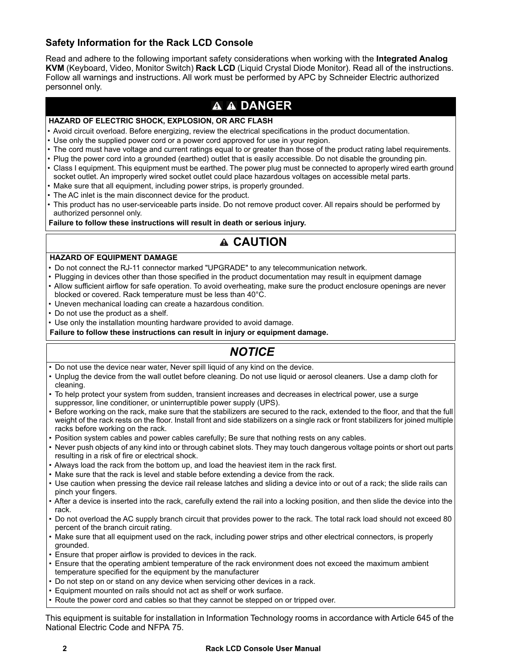#### <span id="page-5-0"></span>**Safety Information for the Rack LCD Console**

Read and adhere to the following important safety considerations when working with the **Integrated Analog KVM** (Keyboard, Video, Monitor Switch) **Rack LCD** (Liquid Crystal Diode Monitor). Read all of the instructions. Follow all warnings and instructions. All work must be performed by APC by Schneider Electric authorized personnel only.

### **A A DANGER**

#### **HAZARD OF ELECTRIC SHOCK, EXPLOSION, OR ARC FLASH**

- Avoid circuit overload. Before energizing, review the electrical specifications in the product documentation.
- Use only the supplied power cord or a power cord approved for use in your region.
- The cord must have voltage and current ratings equal to or greater than those of the product rating label requirements.
- Plug the power cord into a grounded (earthed) outlet that is easily accessible. Do not disable the grounding pin.
- Class I equipment. This equipment must be earthed. The power plug must be connected to aproperly wired earth ground socket outlet. An improperly wired socket outlet could place hazardous voltages on accessible metal parts.
- Make sure that all equipment, including power strips, is properly grounded.
- The AC inlet is the main disconnect device for the product.
- This product has no user-serviceable parts inside. Do not remove product cover. All repairs should be performed by authorized personnel only.

**Failure to follow these instructions will result in death or serious injury.**

## **CAUTION**

#### **HAZARD OF EQUIPMENT DAMAGE**

- Do not connect the RJ-11 connector marked "UPGRADE" to any telecommunication network.
- Plugging in devices other than those specified in the product documentation may result in equipment damage
- Allow sufficient airflow for safe operation. To avoid overheating, make sure the product enclosure openings are never blocked or covered. Rack temperature must be less than 40°C.
- Uneven mechanical loading can create a hazardous condition.
- Do not use the product as a shelf.
- Use only the installation mounting hardware provided to avoid damage.
- **Failure to follow these instructions can result in injury or equipment damage.**

# *NOTICE*

- Do not use the device near water, Never spill liquid of any kind on the device.
- Unplug the device from the wall outlet before cleaning. Do not use liquid or aerosol cleaners. Use a damp cloth for cleaning.
- To help protect your system from sudden, transient increases and decreases in electrical power, use a surge suppressor, line conditioner, or uninterruptible power supply (UPS).
- Before working on the rack, make sure that the stabilizers are secured to the rack, extended to the floor, and that the full weight of the rack rests on the floor. Install front and side stabilizers on a single rack or front stabilizers for joined multiple racks before working on the rack.
- Position system cables and power cables carefully; Be sure that nothing rests on any cables.
- Never push objects of any kind into or through cabinet slots. They may touch dangerous voltage points or short out parts resulting in a risk of fire or electrical shock.
- Always load the rack from the bottom up, and load the heaviest item in the rack first.
- Make sure that the rack is level and stable before extending a device from the rack.
- Use caution when pressing the device rail release latches and sliding a device into or out of a rack; the slide rails can pinch your fingers.
- After a device is inserted into the rack, carefully extend the rail into a locking position, and then slide the device into the rack.
- Do not overload the AC supply branch circuit that provides power to the rack. The total rack load should not exceed 80 percent of the branch circuit rating.
- Make sure that all equipment used on the rack, including power strips and other electrical connectors, is properly grounded.
- Ensure that proper airflow is provided to devices in the rack.
- Ensure that the operating ambient temperature of the rack environment does not exceed the maximum ambient temperature specified for the equipment by the manufacturer
- Do not step on or stand on any device when servicing other devices in a rack.
- Equipment mounted on rails should not act as shelf or work surface.
- Route the power cord and cables so that they cannot be stepped on or tripped over.

This equipment is suitable for installation in Information Technology rooms in accordance with Article 645 of the National Electric Code and NFPA 75.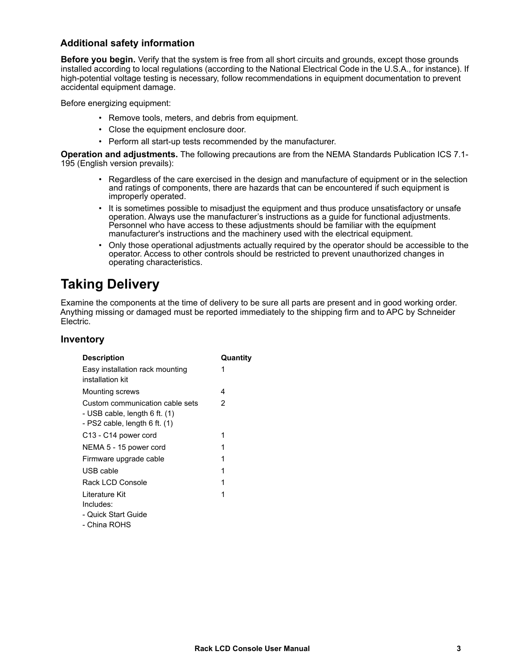#### **Additional safety information**

**Before you begin.** Verify that the system is free from all short circuits and grounds, except those grounds installed according to local regulations (according to the National Electrical Code in the U.S.A., for instance). If high-potential voltage testing is necessary, follow recommendations in equipment documentation to prevent accidental equipment damage.

Before energizing equipment:

- Remove tools, meters, and debris from equipment.
- Close the equipment enclosure door.
- Perform all start-up tests recommended by the manufacturer.

**Operation and adjustments.** The following precautions are from the NEMA Standards Publication ICS 7.1- 195 (English version prevails):

- Regardless of the care exercised in the design and manufacture of equipment or in the selection and ratings of components, there are hazards that can be encountered if such equipment is improperly operated.
- It is sometimes possible to misadjust the equipment and thus produce unsatisfactory or unsafe operation. Always use the manufacturer's instructions as a guide for functional adjustments. Personnel who have access to these adjustments should be familiar with the equipment manufacturer's instructions and the machinery used with the electrical equipment.
- Only those operational adjustments actually required by the operator should be accessible to the operator. Access to other controls should be restricted to prevent unauthorized changes in operating characteristics.

# <span id="page-6-0"></span>**Taking Delivery**

Examine the components at the time of delivery to be sure all parts are present and in good working order. Anything missing or damaged must be reported immediately to the shipping firm and to APC by Schneider Electric.

#### <span id="page-6-1"></span>**Inventory**

| <b>Description</b>                                                                                        | Quantity |
|-----------------------------------------------------------------------------------------------------------|----------|
| Easy installation rack mounting<br>installation kit                                                       | 1        |
| Mounting screws                                                                                           | 4        |
| Custom communication cable sets<br>- USB cable, length $6$ ft. $(1)$<br>- PS2 cable, length $6$ ft. $(1)$ | 2        |
| C <sub>13</sub> - C <sub>14</sub> power cord                                                              | 1        |
| NEMA 5 - 15 power cord                                                                                    | 1        |
| Firmware upgrade cable                                                                                    | 1        |
| USB cable                                                                                                 | 1        |
| Rack LCD Console                                                                                          | 1        |
| Literature Kit                                                                                            | 1        |
| Includes:                                                                                                 |          |
| - Quick Start Guide                                                                                       |          |
|                                                                                                           |          |

- China ROHS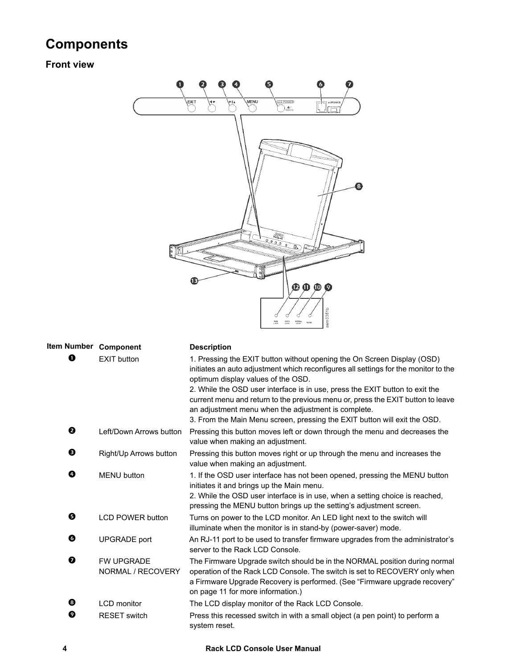# <span id="page-7-0"></span>**Components**

## <span id="page-7-1"></span>**Front view**



<span id="page-7-2"></span>

| Item Number Component |                                        | <b>Description</b>                                                                                                                                                                                                                                                             |  |
|-----------------------|----------------------------------------|--------------------------------------------------------------------------------------------------------------------------------------------------------------------------------------------------------------------------------------------------------------------------------|--|
| O                     | <b>EXIT button</b>                     | 1. Pressing the EXIT button without opening the On Screen Display (OSD)<br>initiates an auto adjustment which reconfigures all settings for the monitor to the<br>optimum display values of the OSD.                                                                           |  |
|                       |                                        | 2. While the OSD user interface is in use, press the EXIT button to exit the<br>current menu and return to the previous menu or, press the EXIT button to leave<br>an adjustment menu when the adjustment is complete.                                                         |  |
|                       |                                        | 3. From the Main Menu screen, pressing the EXIT button will exit the OSD.                                                                                                                                                                                                      |  |
| ❷                     | Left/Down Arrows button                | Pressing this button moves left or down through the menu and decreases the<br>value when making an adjustment.                                                                                                                                                                 |  |
| ❸                     | Right/Up Arrows button                 | Pressing this button moves right or up through the menu and increases the<br>value when making an adjustment.                                                                                                                                                                  |  |
| ➊                     | <b>MENU</b> button                     | 1. If the OSD user interface has not been opened, pressing the MENU button<br>initiates it and brings up the Main menu.<br>2. While the OSD user interface is in use, when a setting choice is reached,<br>pressing the MENU button brings up the setting's adjustment screen. |  |
| ❺                     | <b>LCD POWER button</b>                | Turns on power to the LCD monitor. An LED light next to the switch will<br>illuminate when the monitor is in stand-by (power-saver) mode.                                                                                                                                      |  |
| O                     | <b>UPGRADE</b> port                    | An RJ-11 port to be used to transfer firmware upgrades from the administrator's<br>server to the Rack LCD Console.                                                                                                                                                             |  |
| $\bullet$             | <b>FW UPGRADE</b><br>NORMAL / RECOVERY | The Firmware Upgrade switch should be in the NORMAL position during normal<br>operation of the Rack LCD Console. The switch is set to RECOVERY only when<br>a Firmware Upgrade Recovery is performed. (See "Firmware upgrade recovery"<br>on page 11 for more information.)    |  |
| ❸                     | <b>LCD</b> monitor                     | The LCD display monitor of the Rack LCD Console.                                                                                                                                                                                                                               |  |
| ❷                     | <b>RESET</b> switch                    | Press this recessed switch in with a small object (a pen point) to perform a<br>system reset.                                                                                                                                                                                  |  |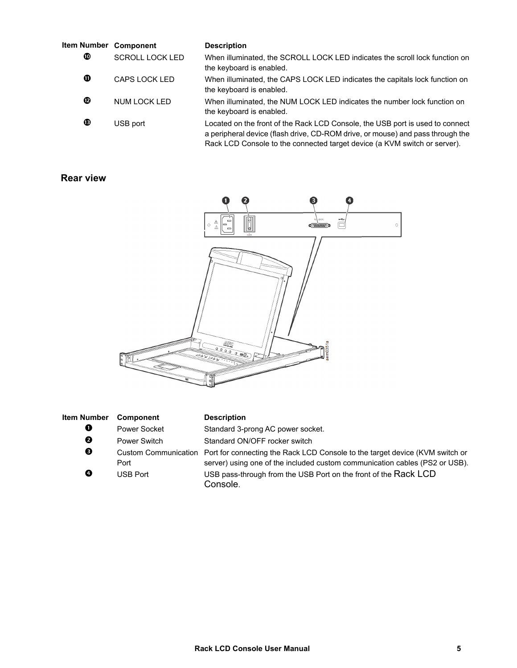| Item Number Component |                        | <b>Description</b>                                                                                                                                                                                                                           |
|-----------------------|------------------------|----------------------------------------------------------------------------------------------------------------------------------------------------------------------------------------------------------------------------------------------|
| ◍                     | <b>SCROLL LOCK LED</b> | When illuminated, the SCROLL LOCK LED indicates the scroll lock function on<br>the keyboard is enabled.                                                                                                                                      |
| ❶                     | CAPS LOCK LED          | When illuminated, the CAPS LOCK LED indicates the capitals lock function on<br>the keyboard is enabled.                                                                                                                                      |
| ℗                     | NUM LOCK LED           | When illuminated, the NUM LOCK LED indicates the number lock function on<br>the keyboard is enabled.                                                                                                                                         |
| ®                     | USB port               | Located on the front of the Rack LCD Console, the USB port is used to connect<br>a peripheral device (flash drive, CD-ROM drive, or mouse) and pass through the<br>Rack LCD Console to the connected target device (a KVM switch or server). |

#### <span id="page-8-0"></span>**Rear view**



<span id="page-8-1"></span>

| <b>Item Number</b> | <b>Component</b> | <b>Description</b>                                                                                                                                                               |
|--------------------|------------------|----------------------------------------------------------------------------------------------------------------------------------------------------------------------------------|
| 0                  | Power Socket     | Standard 3-prong AC power socket.                                                                                                                                                |
| ❷                  | Power Switch     | Standard ON/OFF rocker switch                                                                                                                                                    |
| ❸                  | Port             | Custom Communication Port for connecting the Rack LCD Console to the target device (KVM switch or<br>server) using one of the included custom communication cables (PS2 or USB). |
| ❹                  | <b>USB Port</b>  | USB pass-through from the USB Port on the front of the Rack LCD<br>Console.                                                                                                      |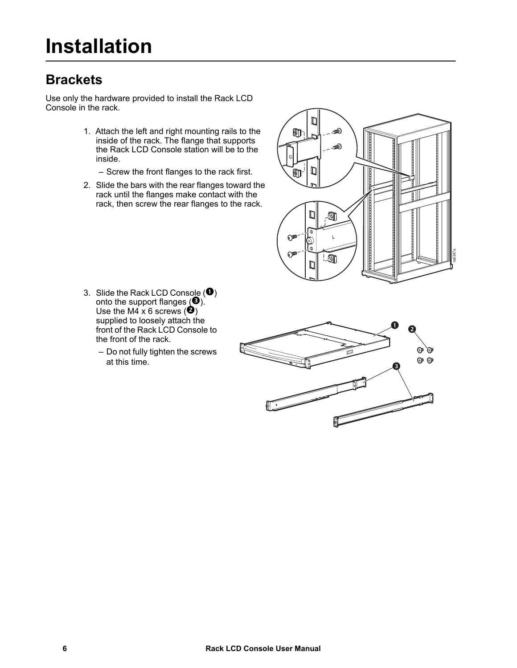# <span id="page-9-1"></span><span id="page-9-0"></span>**Brackets**

Use only the hardware provided to install the Rack LCD Console in the rack.

- 1. Attach the left and right mounting rails to the inside of the rack. The flange that supports the Rack LCD Console station will be to the inside.
	- Screw the front flanges to the rack first.
- 2. Slide the bars with the rear flanges toward the rack until the flanges make contact with the rack, then screw the rear flanges to the rack.



- 3. Slide the Rack LCD Console  $\left( \bullet \right)$ onto the support flanges  $(\mathbf{\Theta})_{\cdot}^{\cdot}$ Use the M4 x 6 screws  $(②)$ supplied to loosely attach the front of the Rack LCD Console to the front of the rack.
	- Do not fully tighten the screws at this time.

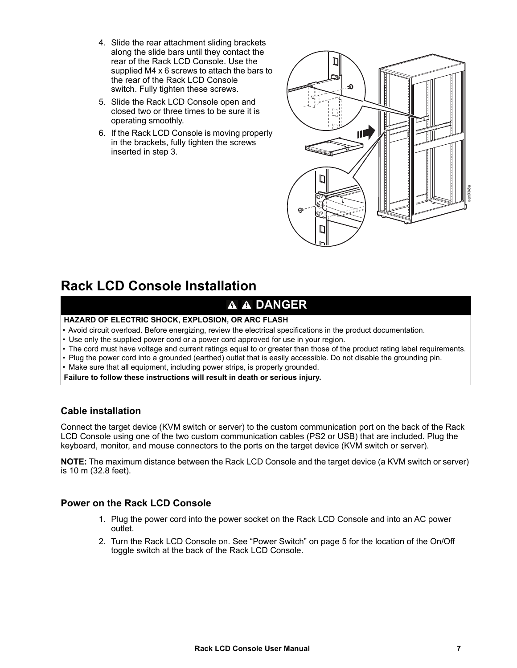- 4. Slide the rear attachment sliding brackets along the slide bars until they contact the rear of the Rack LCD Console. Use the supplied M4 x 6 screws to attach the bars to the rear of the Rack LCD Console switch. Fully tighten these screws.
- 5. Slide the Rack LCD Console open and closed two or three times to be sure it is operating smoothly.
- 6. If the Rack LCD Console is moving properly in the brackets, fully tighten the screws inserted in step 3.



# <span id="page-10-0"></span>**Rack LCD Console Installation**

## **A A DANGER**

#### **HAZARD OF ELECTRIC SHOCK, EXPLOSION, OR ARC FLASH**

- Avoid circuit overload. Before energizing, review the electrical specifications in the product documentation.
- Use only the supplied power cord or a power cord approved for use in your region.
- The cord must have voltage and current ratings equal to or greater than those of the product rating label requirements.
- Plug the power cord into a grounded (earthed) outlet that is easily accessible. Do not disable the grounding pin.
- Make sure that all equipment, including power strips, is properly grounded.

**Failure to follow these instructions will result in death or serious injury.**

#### <span id="page-10-1"></span>**Cable installation**

Connect the target device (KVM switch or server) to the custom communication port on the back of the Rack LCD Console using one of the two custom communication cables (PS2 or USB) that are included. Plug the keyboard, monitor, and mouse connectors to the ports on the target device (KVM switch or server).

**NOTE:** The maximum distance between the Rack LCD Console and the target device (a KVM switch or server) is 10 m (32.8 feet).

#### <span id="page-10-2"></span>**Power on the Rack LCD Console**

- 1. Plug the power cord into the power socket on the Rack LCD Console and into an AC power outlet.
- 2. Turn the Rack LCD Console on. See ["Power Switch" on page 5](#page-8-1) for the location of the On/Off toggle switch at the back of the Rack LCD Console.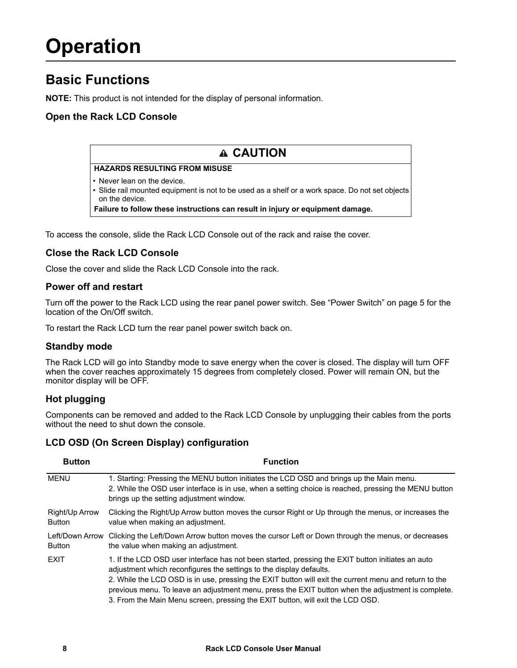# <span id="page-11-0"></span>**Operation**

# <span id="page-11-1"></span>**Basic Functions**

**NOTE:** This product is not intended for the display of personal information.

#### <span id="page-11-2"></span>**Open the Rack LCD Console**

### **CAUTION**

#### **HAZARDS RESULTING FROM MISUSE**

- Never lean on the device.
- Slide rail mounted equipment is not to be used as a shelf or a work space. Do not set objects on the device.

**Failure to follow these instructions can result in injury or equipment damage.**

To access the console, slide the Rack LCD Console out of the rack and raise the cover.

#### <span id="page-11-3"></span>**Close the Rack LCD Console**

Close the cover and slide the Rack LCD Console into the rack.

#### <span id="page-11-4"></span>**Power off and restart**

Turn off the power to the Rack LCD using the rear panel power switch. See ["Power Switch" on page 5](#page-8-1) for the location of the On/Off switch.

To restart the Rack LCD turn the rear panel power switch back on.

#### <span id="page-11-5"></span>**Standby mode**

The Rack LCD will go into Standby mode to save energy when the cover is closed. The display will turn OFF when the cover reaches approximately 15 degrees from completely closed. Power will remain ON, but the monitor display will be OFF.

#### <span id="page-11-6"></span>**Hot plugging**

Components can be removed and added to the Rack LCD Console by unplugging their cables from the ports without the need to shut down the console

#### <span id="page-11-7"></span>**LCD OSD (On Screen Display) configuration**

<span id="page-11-8"></span>

| <b>Button</b>                    | <b>Function</b>                                                                                                                                                                                                                                                                                                                                                                                                                                                           |  |  |
|----------------------------------|---------------------------------------------------------------------------------------------------------------------------------------------------------------------------------------------------------------------------------------------------------------------------------------------------------------------------------------------------------------------------------------------------------------------------------------------------------------------------|--|--|
| <b>MENU</b>                      | 1. Starting: Pressing the MENU button initiates the LCD OSD and brings up the Main menu.<br>2. While the OSD user interface is in use, when a setting choice is reached, pressing the MENU button<br>brings up the setting adjustment window.                                                                                                                                                                                                                             |  |  |
| Right/Up Arrow<br><b>Button</b>  | Clicking the Right/Up Arrow button moves the cursor Right or Up through the menus, or increases the<br>value when making an adjustment.                                                                                                                                                                                                                                                                                                                                   |  |  |
| Left/Down Arrow<br><b>Button</b> | Clicking the Left/Down Arrow button moves the cursor Left or Down through the menus, or decreases<br>the value when making an adjustment.                                                                                                                                                                                                                                                                                                                                 |  |  |
| <b>FXIT</b>                      | 1. If the LCD OSD user interface has not been started, pressing the EXIT button initiates an auto<br>adjustment which reconfigures the settings to the display defaults.<br>2. While the LCD OSD is in use, pressing the EXIT button will exit the current menu and return to the<br>previous menu. To leave an adjustment menu, press the EXIT button when the adjustment is complete.<br>3. From the Main Menu screen, pressing the EXIT button, will exit the LCD OSD. |  |  |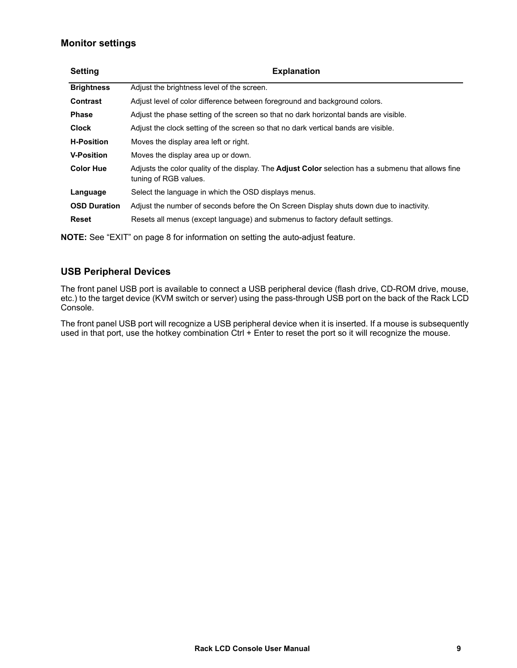#### <span id="page-12-0"></span>**Monitor settings**

| <b>Setting</b>      | <b>Explanation</b>                                                                                                                  |  |  |
|---------------------|-------------------------------------------------------------------------------------------------------------------------------------|--|--|
| <b>Brightness</b>   | Adjust the brightness level of the screen.                                                                                          |  |  |
| <b>Contrast</b>     | Adjust level of color difference between foreground and background colors.                                                          |  |  |
| <b>Phase</b>        | Adjust the phase setting of the screen so that no dark horizontal bands are visible.                                                |  |  |
| <b>Clock</b>        | Adjust the clock setting of the screen so that no dark vertical bands are visible.                                                  |  |  |
| <b>H-Position</b>   | Moves the display area left or right.                                                                                               |  |  |
| <b>V-Position</b>   | Moves the display area up or down.                                                                                                  |  |  |
| <b>Color Hue</b>    | Adjusts the color quality of the display. The <b>Adjust Color</b> selection has a submenu that allows fine<br>tuning of RGB values. |  |  |
| Language            | Select the language in which the OSD displays menus.                                                                                |  |  |
| <b>OSD Duration</b> | Adjust the number of seconds before the On Screen Display shuts down due to inactivity.                                             |  |  |
| <b>Reset</b>        | Resets all menus (except language) and submenus to factory default settings.                                                        |  |  |

**NOTE:** See ["EXIT" on page 8](#page-11-8) for information on setting the auto-adjust feature.

#### <span id="page-12-1"></span>**USB Peripheral Devices**

The front panel USB port is available to connect a USB peripheral device (flash drive, CD-ROM drive, mouse, etc.) to the target device (KVM switch or server) using the pass-through USB port on the back of the Rack LCD Console.

The front panel USB port will recognize a USB peripheral device when it is inserted. If a mouse is subsequently used in that port, use the hotkey combination Ctrl + Enter to reset the port so it will recognize the mouse.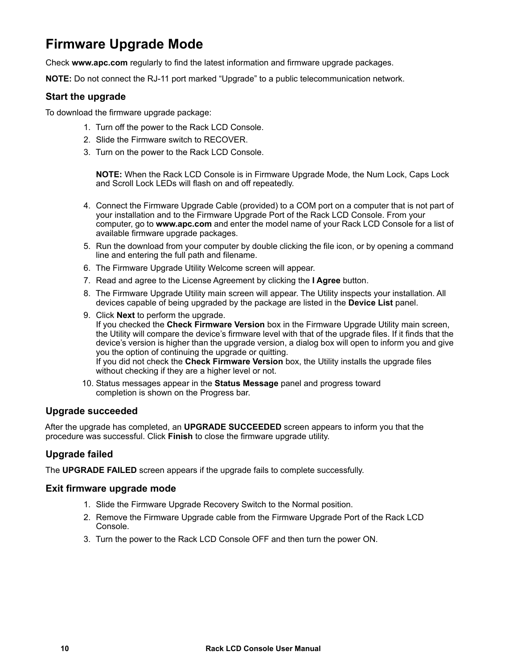# <span id="page-13-0"></span>**Firmware Upgrade Mode**

Check **[www.apc.com](https://www.apc.com)** regularly to find the latest information and firmware upgrade packages.

**NOTE:** Do not connect the RJ-11 port marked "Upgrade" to a public telecommunication network.

#### <span id="page-13-1"></span>**Start the upgrade**

To download the firmware upgrade package:

- 1. Turn off the power to the Rack LCD Console.
- 2. Slide the Firmware switch to RECOVER.
- 3. Turn on the power to the Rack LCD Console.

**NOTE:** When the Rack LCD Console is in Firmware Upgrade Mode, the Num Lock, Caps Lock and Scroll Lock LEDs will flash on and off repeatedly.

- 4. Connect the Firmware Upgrade Cable (provided) to a COM port on a computer that is not part of your installation and to the Firmware Upgrade Port of the Rack LCD Console. From your computer, go to **[www.apc.com](https://www.apc.com)** and enter the model name of your Rack LCD Console for a list of available firmware upgrade packages.
- 5. Run the download from your computer by double clicking the file icon, or by opening a command line and entering the full path and filename.
- 6. The Firmware Upgrade Utility Welcome screen will appear.
- 7. Read and agree to the License Agreement by clicking the **I Agree** button.
- 8. The Firmware Upgrade Utility main screen will appear. The Utility inspects your installation. All devices capable of being upgraded by the package are listed in the **Device List** panel.
- 9. Click **Next** to perform the upgrade. If you checked the **Check Firmware Version** box in the Firmware Upgrade Utility main screen, the Utility will compare the device's firmware level with that of the upgrade files. If it finds that the device's version is higher than the upgrade version, a dialog box will open to inform you and give you the option of continuing the upgrade or quitting. If you did not check the **Check Firmware Version** box, the Utility installs the upgrade files without checking if they are a higher level or not.
- 10. Status messages appear in the **Status Message** panel and progress toward completion is shown on the Progress bar.

#### <span id="page-13-2"></span>**Upgrade succeeded**

After the upgrade has completed, an **UPGRADE SUCCEEDED** screen appears to inform you that the procedure was successful. Click **Finish** to close the firmware upgrade utility.

#### <span id="page-13-3"></span>**Upgrade failed**

The **UPGRADE FAILED** screen appears if the upgrade fails to complete successfully.

#### <span id="page-13-4"></span>**Exit firmware upgrade mode**

- 1. Slide the Firmware Upgrade Recovery Switch to the Normal position.
- 2. Remove the Firmware Upgrade cable from the Firmware Upgrade Port of the Rack LCD Console.
- 3. Turn the power to the Rack LCD Console OFF and then turn the power ON.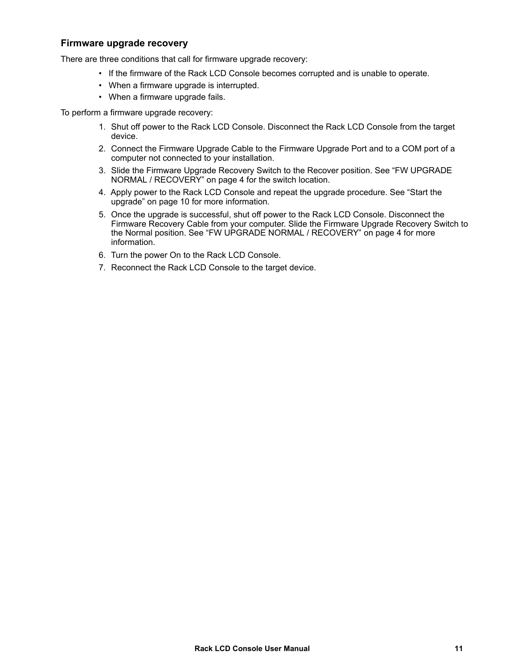#### <span id="page-14-0"></span>**Firmware upgrade recovery**

There are three conditions that call for firmware upgrade recovery:

- If the firmware of the Rack LCD Console becomes corrupted and is unable to operate.
- When a firmware upgrade is interrupted.
- When a firmware upgrade fails.

To perform a firmware upgrade recovery:

- 1. Shut off power to the Rack LCD Console. Disconnect the Rack LCD Console from the target device.
- 2. Connect the Firmware Upgrade Cable to the Firmware Upgrade Port and to a COM port of a computer not connected to your installation.
- 3. Slide the Firmware Upgrade Recovery Switch to the Recover position. See ["FW UPGRADE](#page-7-2)  [NORMAL / RECOVERY" on page 4](#page-7-2) for the switch location.
- 4. Apply power to the Rack LCD Console and repeat the upgrade procedure. See ["Start the](#page-13-1)  [upgrade" on page 10](#page-13-1) for more information.
- 5. Once the upgrade is successful, shut off power to the Rack LCD Console. Disconnect the Firmware Recovery Cable from your computer. Slide the Firmware Upgrade Recovery Switch to the Normal position. See ["FW UPGRADE NORMAL / RECOVERY" on page 4](#page-7-2) for more information.
- 6. Turn the power On to the Rack LCD Console.
- 7. Reconnect the Rack LCD Console to the target device.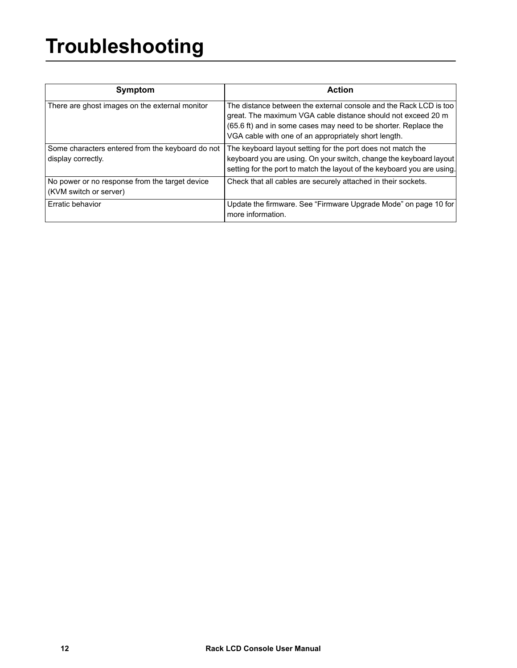# <span id="page-15-0"></span>**Troubleshooting**

| <b>Symptom</b>                                                           | <b>Action</b>                                                                                                                                                                                                                                                |
|--------------------------------------------------------------------------|--------------------------------------------------------------------------------------------------------------------------------------------------------------------------------------------------------------------------------------------------------------|
| There are ghost images on the external monitor                           | The distance between the external console and the Rack LCD is too<br>great. The maximum VGA cable distance should not exceed 20 m<br>(65.6 ft) and in some cases may need to be shorter. Replace the<br>VGA cable with one of an appropriately short length. |
| Some characters entered from the keyboard do not<br>display correctly.   | The keyboard layout setting for the port does not match the<br>keyboard you are using. On your switch, change the keyboard layout<br>setting for the port to match the layout of the keyboard you are using.                                                 |
| No power or no response from the target device<br>(KVM switch or server) | Check that all cables are securely attached in their sockets.                                                                                                                                                                                                |
| Erratic behavior                                                         | Update the firmware. See "Firmware Upgrade Mode" on page 10 for<br>more information.                                                                                                                                                                         |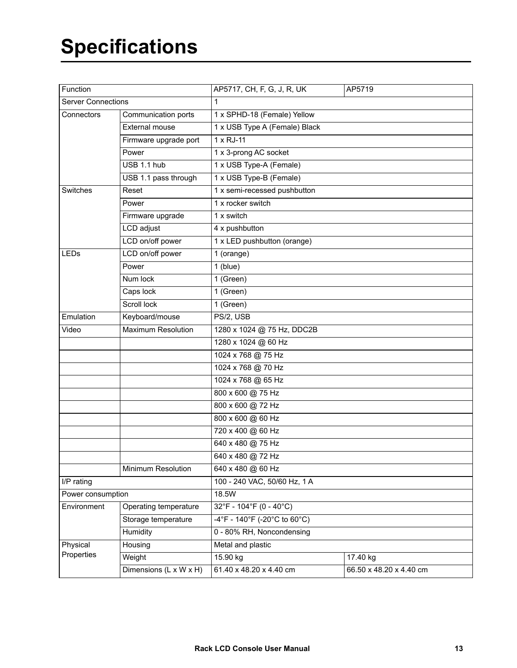<span id="page-16-0"></span>

| Function                          |                           | AP5717, CH, F, G, J, R, UK    | AP5719                  |  |
|-----------------------------------|---------------------------|-------------------------------|-------------------------|--|
| <b>Server Connections</b>         |                           | 1                             |                         |  |
| Communication ports<br>Connectors |                           | 1 x SPHD-18 (Female) Yellow   |                         |  |
|                                   | <b>External mouse</b>     | 1 x USB Type A (Female) Black |                         |  |
|                                   | Firmware upgrade port     | $1 \times RJ-11$              |                         |  |
|                                   | Power                     | 1 x 3-prong AC socket         |                         |  |
|                                   | USB 1.1 hub               | 1 x USB Type-A (Female)       |                         |  |
|                                   | USB 1.1 pass through      | 1 x USB Type-B (Female)       |                         |  |
| Switches                          | Reset                     | 1 x semi-recessed pushbutton  |                         |  |
|                                   | Power                     | 1 x rocker switch             |                         |  |
|                                   | Firmware upgrade          | 1 x switch                    |                         |  |
|                                   | LCD adjust                | 4 x pushbutton                |                         |  |
|                                   | LCD on/off power          | 1 x LED pushbutton (orange)   |                         |  |
| LEDs                              | LCD on/off power          | 1 (orange)                    |                         |  |
|                                   | Power                     | $\overline{1}$ (blue)         |                         |  |
|                                   | Num lock                  | 1 (Green)                     |                         |  |
|                                   | Caps lock                 | 1 (Green)                     |                         |  |
|                                   | Scroll lock               | 1 (Green)                     |                         |  |
| Emulation                         | Keyboard/mouse            | $PS/Z$ , USB                  |                         |  |
| Video                             | <b>Maximum Resolution</b> | 1280 x 1024 @ 75 Hz, DDC2B    |                         |  |
|                                   |                           | 1280 x 1024 @ 60 Hz           |                         |  |
|                                   |                           | 1024 x 768 @ 75 Hz            |                         |  |
|                                   |                           | 1024 x 768 @ 70 Hz            |                         |  |
|                                   |                           | 1024 x 768 @ 65 Hz            |                         |  |
|                                   |                           | 800 x 600 @ 75 Hz             |                         |  |
|                                   |                           | 800 x 600 @ 72 Hz             |                         |  |
|                                   |                           | 800 x 600 @ 60 Hz             |                         |  |
|                                   |                           | 720 x 400 @ 60 Hz             |                         |  |
|                                   |                           | 640 x 480 @ 75 Hz             |                         |  |
|                                   |                           | 640 x 480 @ 72 Hz             |                         |  |
|                                   | Minimum Resolution        | 640 x 480 @ 60 Hz             |                         |  |
| I/P rating                        |                           | 100 - 240 VAC, 50/60 Hz, 1 A  |                         |  |
| Power consumption                 |                           | 18.5W                         |                         |  |
| Environment                       | Operating temperature     | 32°F - 104°F (0 - 40°C)       |                         |  |
|                                   | Storage temperature       | -4°F - 140°F (-20°C to 60°C)  |                         |  |
|                                   | Humidity                  | 0 - 80% RH, Noncondensing     |                         |  |
| Physical                          | Housing                   | Metal and plastic             |                         |  |
| Properties                        | Weight                    | 15.90 kg                      | 17.40 kg                |  |
|                                   | Dimensions (L x W x H)    | 61.40 x 48.20 x 4.40 cm       | 66.50 x 48.20 x 4.40 cm |  |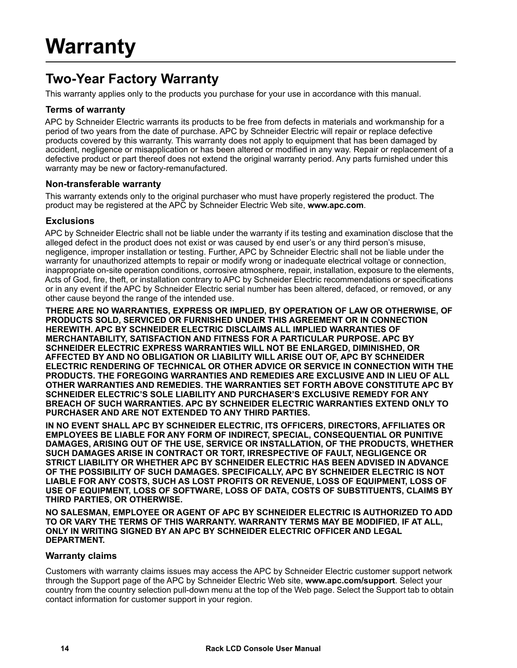# <span id="page-17-1"></span><span id="page-17-0"></span>**Two-Year Factory Warranty**

This warranty applies only to the products you purchase for your use in accordance with this manual.

#### <span id="page-17-2"></span>**Terms of warranty**

APC by Schneider Electric warrants its products to be free from defects in materials and workmanship for a period of two years from the date of purchase. APC by Schneider Electric will repair or replace defective products covered by this warranty. This warranty does not apply to equipment that has been damaged by accident, negligence or misapplication or has been altered or modified in any way. Repair or replacement of a defective product or part thereof does not extend the original warranty period. Any parts furnished under this warranty may be new or factory-remanufactured.

#### <span id="page-17-3"></span>**Non-transferable warranty**

[This warranty extends only to the original purchaser who must have properly registered the product. The](http://www.apc.com)  [product may be registered at the APC by Schneider Electric Web site,](http://www.apc.com) **www.apc.com**.

#### <span id="page-17-4"></span>**Exclusions**

APC by Schneider Electric shall not be liable under the warranty if its testing and examination disclose that the alleged defect in the product does not exist or was caused by end user's or any third person's misuse, negligence, improper installation or testing. Further, APC by Schneider Electric shall not be liable under the warranty for unauthorized attempts to repair or modify wrong or inadequate electrical voltage or connection, inappropriate on-site operation conditions, corrosive atmosphere, repair, installation, exposure to the elements, Acts of God, fire, theft, or installation contrary to APC by Schneider Electric recommendations or specifications or in any event if the APC by Schneider Electric serial number has been altered, defaced, or removed, or any other cause beyond the range of the intended use.

**THERE ARE NO WARRANTIES, EXPRESS OR IMPLIED, BY OPERATION OF LAW OR OTHERWISE, OF PRODUCTS SOLD, SERVICED OR FURNISHED UNDER THIS AGREEMENT OR IN CONNECTION HEREWITH. APC BY SCHNEIDER ELECTRIC DISCLAIMS ALL IMPLIED WARRANTIES OF MERCHANTABILITY, SATISFACTION AND FITNESS FOR A PARTICULAR PURPOSE. APC BY SCHNEIDER ELECTRIC EXPRESS WARRANTIES WILL NOT BE ENLARGED, DIMINISHED, OR AFFECTED BY AND NO OBLIGATION OR LIABILITY WILL ARISE OUT OF, APC BY SCHNEIDER ELECTRIC RENDERING OF TECHNICAL OR OTHER ADVICE OR SERVICE IN CONNECTION WITH THE PRODUCTS. THE FOREGOING WARRANTIES AND REMEDIES ARE EXCLUSIVE AND IN LIEU OF ALL OTHER WARRANTIES AND REMEDIES. THE WARRANTIES SET FORTH ABOVE CONSTITUTE APC BY SCHNEIDER ELECTRIC'S SOLE LIABILITY AND PURCHASER'S EXCLUSIVE REMEDY FOR ANY BREACH OF SUCH WARRANTIES. APC BY SCHNEIDER ELECTRIC WARRANTIES EXTEND ONLY TO PURCHASER AND ARE NOT EXTENDED TO ANY THIRD PARTIES.** 

**IN NO EVENT SHALL APC BY SCHNEIDER ELECTRIC, ITS OFFICERS, DIRECTORS, AFFILIATES OR EMPLOYEES BE LIABLE FOR ANY FORM OF INDIRECT, SPECIAL, CONSEQUENTIAL OR PUNITIVE DAMAGES, ARISING OUT OF THE USE, SERVICE OR INSTALLATION, OF THE PRODUCTS, WHETHER SUCH DAMAGES ARISE IN CONTRACT OR TORT, IRRESPECTIVE OF FAULT, NEGLIGENCE OR STRICT LIABILITY OR WHETHER APC BY SCHNEIDER ELECTRIC HAS BEEN ADVISED IN ADVANCE OF THE POSSIBILITY OF SUCH DAMAGES. SPECIFICALLY, APC BY SCHNEIDER ELECTRIC IS NOT LIABLE FOR ANY COSTS, SUCH AS LOST PROFITS OR REVENUE, LOSS OF EQUIPMENT, LOSS OF USE OF EQUIPMENT, LOSS OF SOFTWARE, LOSS OF DATA, COSTS OF SUBSTITUENTS, CLAIMS BY THIRD PARTIES, OR OTHERWISE.**

**NO SALESMAN, EMPLOYEE OR AGENT OF APC BY SCHNEIDER ELECTRIC IS AUTHORIZED TO ADD TO OR VARY THE TERMS OF THIS WARRANTY. WARRANTY TERMS MAY BE MODIFIED, IF AT ALL, ONLY IN WRITING SIGNED BY AN APC BY SCHNEIDER ELECTRIC OFFICER AND LEGAL DEPARTMENT.** 

#### <span id="page-17-5"></span>**Warranty claims**

[Customers with warranty claims issues may access the APC by Schneider Electric customer support network](http://www.apc.com/support)  [through the Support page of the APC by Schneider Electric Web site,](http://www.apc.com/support) **www.apc.com/support**. Select your country from the country selection pull-down menu at the top of the Web page. Select the Support tab to obtain contact information for customer support in your region.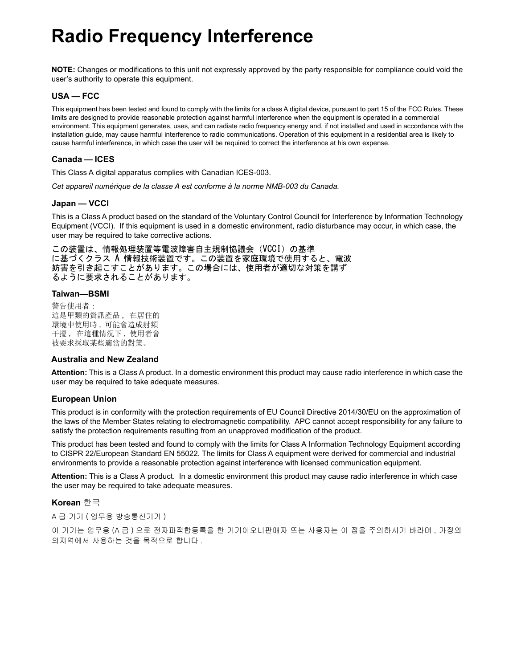# **Radio Frequency Interference**

**NOTE:** Changes or modifications to this unit not expressly approved by the party responsible for compliance could void the user's authority to operate this equipment.

#### **USA — FCC**

This equipment has been tested and found to comply with the limits for a class A digital device, pursuant to part 15 of the FCC Rules. These limits are designed to provide reasonable protection against harmful interference when the equipment is operated in a commercial environment. This equipment generates, uses, and can radiate radio frequency energy and, if not installed and used in accordance with the installation guide, may cause harmful interference to radio communications. Operation of this equipment in a residential area is likely to cause harmful interference, in which case the user will be required to correct the interference at his own expense.

#### **Canada — ICES**

This Class A digital apparatus complies with Canadian ICES-003.

*Cet appareil numérique de la classe A est conforme à la norme NMB-003 du Canada.*

#### **Japan — VCCI**

This is a Class A product based on the standard of the Voluntary Control Council for Interference by Information Technology Equipment (VCCI). If this equipment is used in a domestic environment, radio disturbance may occur, in which case, the user may be required to take corrective actions.

この装置は、情報処理装置等電波障害自主規制協議会 (VCCI) の基準 に基づくクラス A 情報技術装置です。この装置を家庭環境で使用すると、電波 妨害を引き起こすことがあります。この場合には、使用者が適切な対策を講ず るように要求されることがあります。

#### **Taiwan—BSMI**

警告使用者: 這是甲類的資訊產品, 在居住的 環境中使用時,可能會造成射頻 干擾, 在這種情況下, 使用者會 被要求採取某些適當的對策。

#### **Australia and New Zealand**

**Attention:** This is a Class A product. In a domestic environment this product may cause radio interference in which case the user may be required to take adequate measures.

#### **European Union**

This product is in conformity with the protection requirements of EU Council Directive 2014/30/EU on the approximation of the laws of the Member States relating to electromagnetic compatibility. APC cannot accept responsibility for any failure to satisfy the protection requirements resulting from an unapproved modification of the product.

This product has been tested and found to comply with the limits for Class A Information Technology Equipment according to CISPR 22/European Standard EN 55022. The limits for Class A equipment were derived for commercial and industrial environments to provide a reasonable protection against interference with licensed communication equipment.

**Attention:** This is a Class A product. In a domestic environment this product may cause radio interference in which case the user may be required to take adequate measures.

#### **Korean** 한국

A 급 기기 ( 업무용 방송통신기기 )

이 기기는 업무용 (A 급) 으로 전자파적합등록을 한 기기이오니판매자 또는 사용자는 이 점을 주의하시기 바라며 , 가정외 의지역에서 사용하는 것을 목적으로 합니다 .